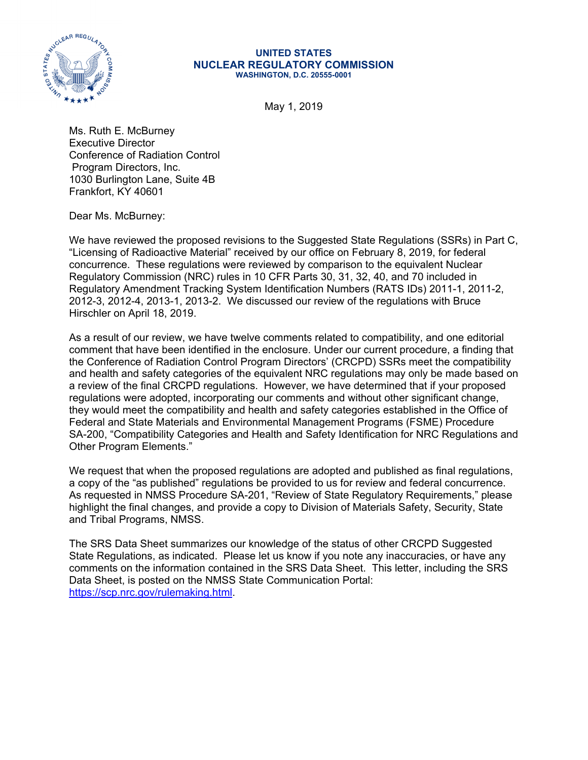

#### **UNITED STATES NUCLEAR REGULATORY COMMISSION WASHINGTON, D.C. 20555-0001**

May 1, 2019

Ms. Ruth E. McBurney Executive Director Conference of Radiation Control Program Directors, Inc. 1030 Burlington Lane, Suite 4B Frankfort, KY 40601

Dear Ms. McBurney:

We have reviewed the proposed revisions to the Suggested State Regulations (SSRs) in Part C, "Licensing of Radioactive Material" received by our office on February 8, 2019, for federal concurrence. These regulations were reviewed by comparison to the equivalent Nuclear Regulatory Commission (NRC) rules in 10 CFR Parts 30, 31, 32, 40, and 70 included in Regulatory Amendment Tracking System Identification Numbers (RATS IDs) 2011-1, 2011-2, 2012-3, 2012-4, 2013-1, 2013-2. We discussed our review of the regulations with Bruce Hirschler on April 18, 2019.

As a result of our review, we have twelve comments related to compatibility, and one editorial comment that have been identified in the enclosure. Under our current procedure, a finding that the Conference of Radiation Control Program Directors' (CRCPD) SSRs meet the compatibility and health and safety categories of the equivalent NRC regulations may only be made based on a review of the final CRCPD regulations. However, we have determined that if your proposed regulations were adopted, incorporating our comments and without other significant change, they would meet the compatibility and health and safety categories established in the Office of Federal and State Materials and Environmental Management Programs (FSME) Procedure SA-200, "Compatibility Categories and Health and Safety Identification for NRC Regulations and Other Program Elements."

We request that when the proposed regulations are adopted and published as final regulations. a copy of the "as published" regulations be provided to us for review and federal concurrence. As requested in NMSS Procedure SA-201, "Review of State Regulatory Requirements," please highlight the final changes, and provide a copy to Division of Materials Safety, Security, State and Tribal Programs, NMSS.

The SRS Data Sheet summarizes our knowledge of the status of other CRCPD Suggested State Regulations, as indicated. Please let us know if you note any inaccuracies, or have any comments on the information contained in the SRS Data Sheet. This letter, including the SRS Data Sheet, is posted on the NMSS State Communication Portal: https://scp.nrc.gov/rulemaking.html.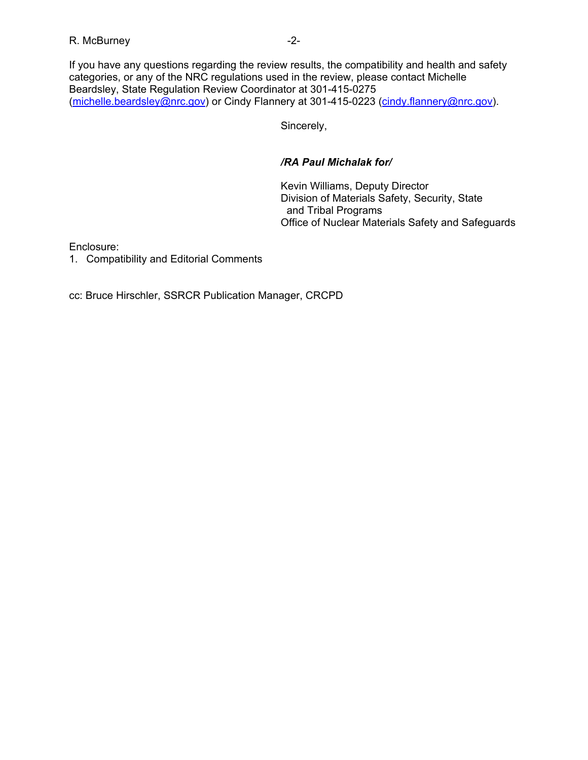If you have any questions regarding the review results, the compatibility and health and safety categories, or any of the NRC regulations used in the review, please contact Michelle Beardsley, State Regulation Review Coordinator at 301-415-0275 (michelle.beardsley@nrc.gov) or Cindy Flannery at 301-415-0223 (cindy.flannery@nrc.gov).

Sincerely,

# */RA Paul Michalak for/*

Kevin Williams, Deputy Director Division of Materials Safety, Security, State and Tribal Programs Office of Nuclear Materials Safety and Safeguards

Enclosure:

1. Compatibility and Editorial Comments

cc: Bruce Hirschler, SSRCR Publication Manager, CRCPD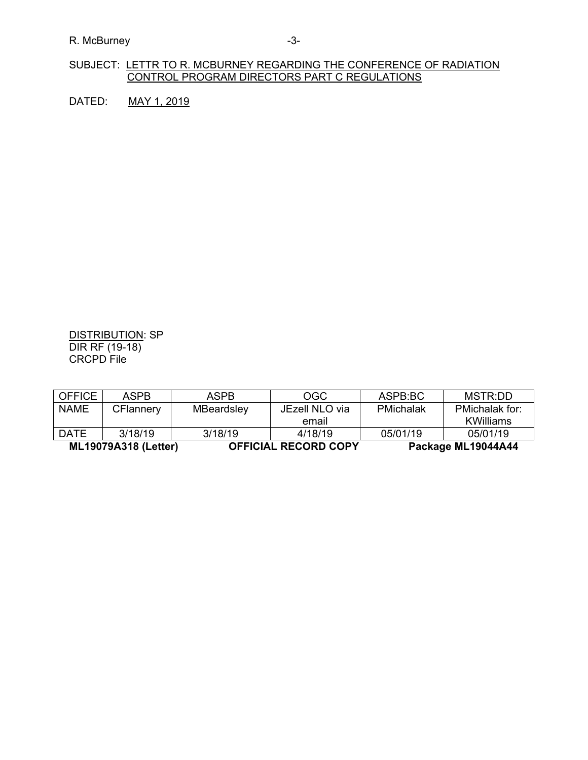R. McBurney **Accord 2018** -3-

## SUBJECT: LETTR TO R. MCBURNEY REGARDING THE CONFERENCE OF RADIATION CONTROL PROGRAM DIRECTORS PART C REGULATIONS

DATED: MAY 1, 2019

### DISTRIBUTION: SP DIR RF (19-18) CRCPD File

| <b>OFFICE</b>               | <b>ASPR</b> | <b>ASPB</b>       | OGC.                        | ASPB:BC   | MSTR∙DD            |
|-----------------------------|-------------|-------------------|-----------------------------|-----------|--------------------|
| <b>NAME</b>                 | CFlannery   | <b>MBeardsley</b> | JEzell NLO via              | PMichalak | PMichalak for:     |
|                             |             |                   | email                       |           | <b>KWilliams</b>   |
| <b>DATE</b>                 | 3/18/19     | 3/18/19           | 4/18/19                     | 05/01/19  | 05/01/19           |
| <b>ML19079A318 (Letter)</b> |             |                   | <b>OFFICIAL RECORD COPY</b> |           | Package ML19044A44 |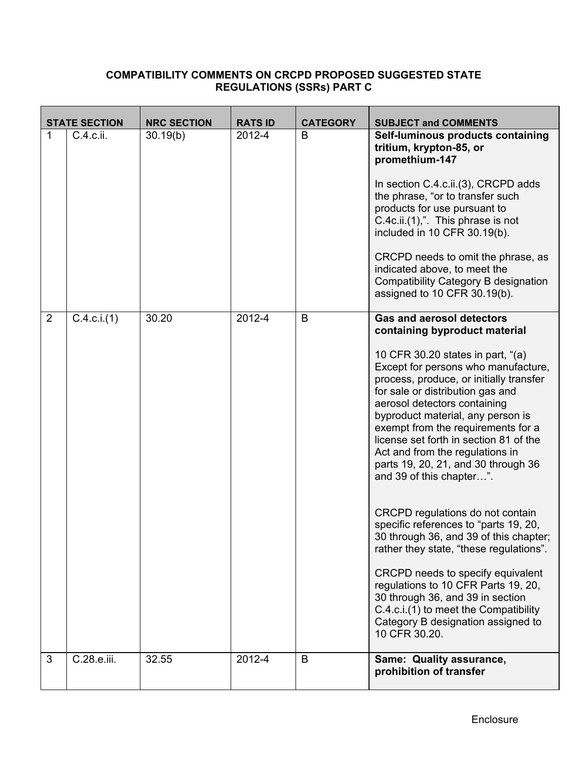### **COMPATIBILITY COMMENTS ON CRCPD PROPOSED SUGGESTED STATE REGULATIONS (SSRs) PART C**

|                | <b>STATE SECTION</b> | <b>NRC SECTION</b> | <b>RATS ID</b> | <b>CATEGORY</b> | <b>SUBJECT and COMMENTS</b>                                                                                                                                                                                                                                                                                                                                                                                                                                                                                                                                                                                                                                                                                                                                                                                                                                               |
|----------------|----------------------|--------------------|----------------|-----------------|---------------------------------------------------------------------------------------------------------------------------------------------------------------------------------------------------------------------------------------------------------------------------------------------------------------------------------------------------------------------------------------------------------------------------------------------------------------------------------------------------------------------------------------------------------------------------------------------------------------------------------------------------------------------------------------------------------------------------------------------------------------------------------------------------------------------------------------------------------------------------|
| $\mathbf{1}$   | C.4.c.ii.            | 30.19(b)           | 2012-4         | B               | Self-luminous products containing<br>tritium, krypton-85, or<br>promethium-147<br>In section C.4.c.ii.(3), CRCPD adds<br>the phrase, "or to transfer such<br>products for use pursuant to<br>C.4c.ii.(1),". This phrase is not<br>included in 10 CFR 30.19(b).<br>CRCPD needs to omit the phrase, as<br>indicated above, to meet the<br><b>Compatibility Category B designation</b><br>assigned to 10 CFR 30.19(b).                                                                                                                                                                                                                                                                                                                                                                                                                                                       |
| $\overline{2}$ | C.4.c.i.(1)          | 30.20              | 2012-4         | B               | <b>Gas and aerosol detectors</b><br>containing byproduct material<br>10 CFR 30.20 states in part, "(a)<br>Except for persons who manufacture,<br>process, produce, or initially transfer<br>for sale or distribution gas and<br>aerosol detectors containing<br>byproduct material, any person is<br>exempt from the requirements for a<br>license set forth in section 81 of the<br>Act and from the regulations in<br>parts 19, 20, 21, and 30 through 36<br>and 39 of this chapter".<br>CRCPD regulations do not contain<br>specific references to "parts 19, 20,<br>30 through 36, and 39 of this chapter;<br>rather they state, "these regulations".<br>CRCPD needs to specify equivalent<br>regulations to 10 CFR Parts 19, 20,<br>30 through 36, and 39 in section<br>C.4.c.i.(1) to meet the Compatibility<br>Category B designation assigned to<br>10 CFR 30.20. |
| 3              | C.28.e.iii.          | 32.55              | 2012-4         | B               | Same: Quality assurance,<br>prohibition of transfer                                                                                                                                                                                                                                                                                                                                                                                                                                                                                                                                                                                                                                                                                                                                                                                                                       |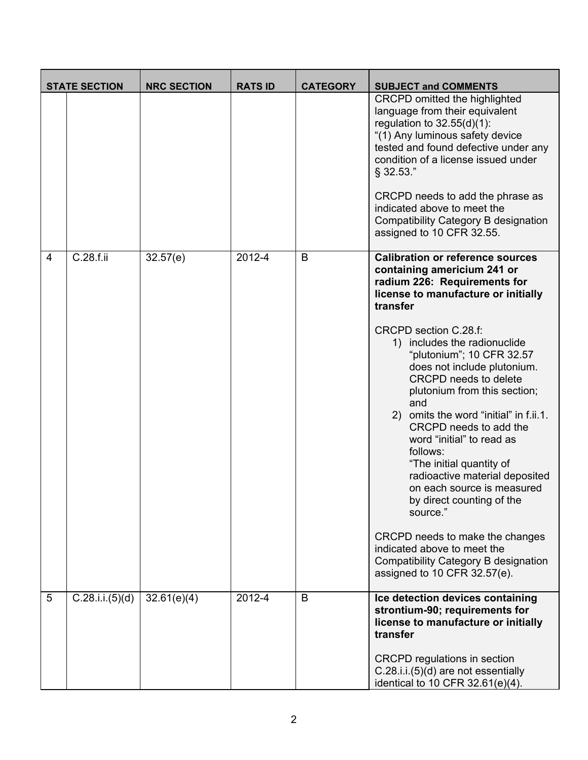|                | <b>STATE SECTION</b> | <b>NRC SECTION</b> | <b>RATS ID</b> | <b>CATEGORY</b> | <b>SUBJECT and COMMENTS</b>                                                                                                                                                                                                                                                                                                                                                                                                                                                                                                                                                                                                                                                                                                                       |
|----------------|----------------------|--------------------|----------------|-----------------|---------------------------------------------------------------------------------------------------------------------------------------------------------------------------------------------------------------------------------------------------------------------------------------------------------------------------------------------------------------------------------------------------------------------------------------------------------------------------------------------------------------------------------------------------------------------------------------------------------------------------------------------------------------------------------------------------------------------------------------------------|
|                |                      |                    |                |                 | CRCPD omitted the highlighted<br>language from their equivalent<br>regulation to $32.55(d)(1)$ :<br>"(1) Any luminous safety device<br>tested and found defective under any<br>condition of a license issued under<br>§ 32.53."<br>CRCPD needs to add the phrase as<br>indicated above to meet the<br><b>Compatibility Category B designation</b><br>assigned to 10 CFR 32.55.                                                                                                                                                                                                                                                                                                                                                                    |
| $\overline{4}$ | C.28.f.ii            | 32.57(e)           | 2012-4         | B               | <b>Calibration or reference sources</b><br>containing americium 241 or<br>radium 226: Requirements for<br>license to manufacture or initially<br>transfer<br>CRCPD section C.28.f:<br>1) includes the radionuclide<br>"plutonium"; 10 CFR 32.57<br>does not include plutonium.<br><b>CRCPD</b> needs to delete<br>plutonium from this section;<br>and<br>2) omits the word "initial" in f.ii.1.<br>CRCPD needs to add the<br>word "initial" to read as<br>follows:<br>"The initial quantity of<br>radioactive material deposited<br>on each source is measured<br>by direct counting of the<br>source."<br>CRCPD needs to make the changes<br>indicated above to meet the<br>Compatibility Category B designation<br>assigned to 10 CFR 32.57(e). |
| 5              | C.28.i.(5)(d)        | 32.61(e)(4)        | 2012-4         | B               | Ice detection devices containing<br>strontium-90; requirements for<br>license to manufacture or initially<br>transfer<br><b>CRCPD</b> regulations in section<br>C.28.i.i.(5)(d) are not essentially<br>identical to 10 CFR 32.61(e)(4).                                                                                                                                                                                                                                                                                                                                                                                                                                                                                                           |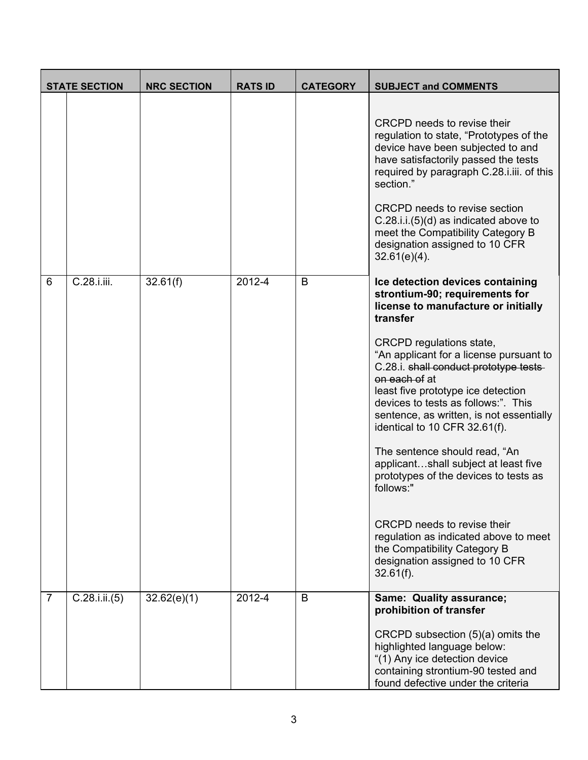| <b>STATE SECTION</b> |                  | <b>NRC SECTION</b> | <b>RATS ID</b> | <b>CATEGORY</b> | <b>SUBJECT and COMMENTS</b>                                                                                                                                                                                                                                                                                                                                                                                                                                                                                                                                                                                                                                                                               |
|----------------------|------------------|--------------------|----------------|-----------------|-----------------------------------------------------------------------------------------------------------------------------------------------------------------------------------------------------------------------------------------------------------------------------------------------------------------------------------------------------------------------------------------------------------------------------------------------------------------------------------------------------------------------------------------------------------------------------------------------------------------------------------------------------------------------------------------------------------|
|                      |                  |                    |                |                 | CRCPD needs to revise their<br>regulation to state, "Prototypes of the<br>device have been subjected to and<br>have satisfactorily passed the tests<br>required by paragraph C.28.i.iii. of this<br>section."<br>CRCPD needs to revise section<br>$C.28.i.i.(5)(d)$ as indicated above to<br>meet the Compatibility Category B<br>designation assigned to 10 CFR<br>$32.61(e)(4)$ .                                                                                                                                                                                                                                                                                                                       |
| 6                    | C.28.i.iii.      | 32.61(f)           | 2012-4         | B               | Ice detection devices containing<br>strontium-90; requirements for<br>license to manufacture or initially<br>transfer<br>CRCPD regulations state,<br>"An applicant for a license pursuant to<br>C.28.i. shall conduct prototype tests<br>on each of at<br>least five prototype ice detection<br>devices to tests as follows:". This<br>sentence, as written, is not essentially<br>identical to 10 CFR 32.61(f).<br>The sentence should read, "An<br>applicantshall subject at least five<br>prototypes of the devices to tests as<br>follows:"<br>CRCPD needs to revise their<br>regulation as indicated above to meet<br>the Compatibility Category B<br>designation assigned to 10 CFR<br>$32.61(f)$ . |
| $\overline{7}$       | C.28. i. ii. (5) | 32.62(e)(1)        | 2012-4         | B               | Same: Quality assurance;<br>prohibition of transfer<br>CRCPD subsection $(5)(a)$ omits the<br>highlighted language below:<br>"(1) Any ice detection device<br>containing strontium-90 tested and<br>found defective under the criteria                                                                                                                                                                                                                                                                                                                                                                                                                                                                    |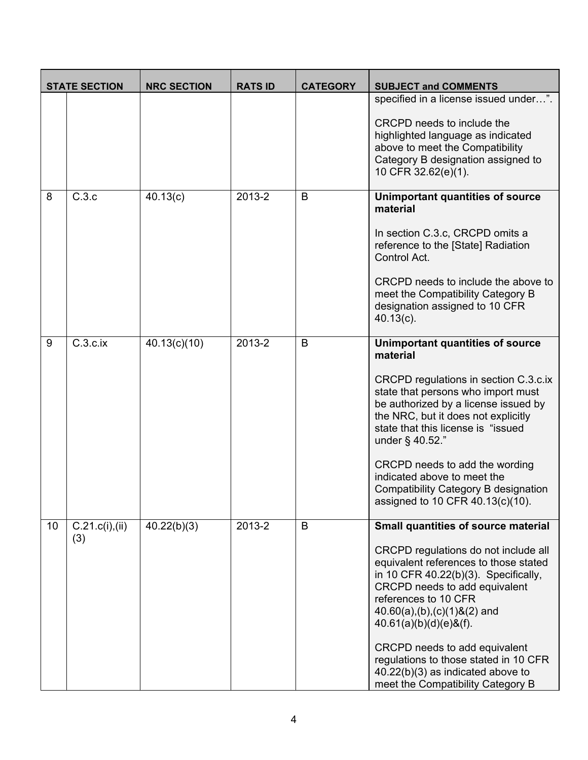| <b>STATE SECTION</b> |                        | <b>NRC SECTION</b> | <b>RATS ID</b> | <b>CATEGORY</b> | <b>SUBJECT and COMMENTS</b>                                                                                                                                                                                                                                                                                                                                                                                                                       |
|----------------------|------------------------|--------------------|----------------|-----------------|---------------------------------------------------------------------------------------------------------------------------------------------------------------------------------------------------------------------------------------------------------------------------------------------------------------------------------------------------------------------------------------------------------------------------------------------------|
|                      |                        |                    |                |                 | specified in a license issued under".<br>CRCPD needs to include the<br>highlighted language as indicated<br>above to meet the Compatibility<br>Category B designation assigned to<br>10 CFR 32.62(e)(1).                                                                                                                                                                                                                                          |
| 8                    | C.3.c                  | 40.13(c)           | 2013-2         | B               | Unimportant quantities of source<br>material<br>In section C.3.c, CRCPD omits a<br>reference to the [State] Radiation<br>Control Act.<br>CRCPD needs to include the above to<br>meet the Compatibility Category B<br>designation assigned to 10 CFR<br>$40.13(c)$ .                                                                                                                                                                               |
| 9                    | $C.3.c.$ ix            | 40.13(c)(10)       | 2013-2         | B               | Unimportant quantities of source<br>material<br>CRCPD regulations in section C.3.c.ix<br>state that persons who import must<br>be authorized by a license issued by<br>the NRC, but it does not explicitly<br>state that this license is "issued<br>under $\S$ 40.52."<br>CRCPD needs to add the wording<br>indicated above to meet the<br><b>Compatibility Category B designation</b><br>assigned to 10 CFR 40.13(c)(10).                        |
| 10                   | C.21.c(i), (ii)<br>(3) | 40.22(b)(3)        | 2013-2         | B               | <b>Small quantities of source material</b><br>CRCPD regulations do not include all<br>equivalent references to those stated<br>in 10 CFR $40.22(b)(3)$ . Specifically,<br>CRCPD needs to add equivalent<br>references to 10 CFR<br>40.60(a),(b),(c)(1)&(2) and<br>$40.61(a)(b)(d)(e)$ &(f).<br>CRCPD needs to add equivalent<br>regulations to those stated in 10 CFR<br>$40.22(b)(3)$ as indicated above to<br>meet the Compatibility Category B |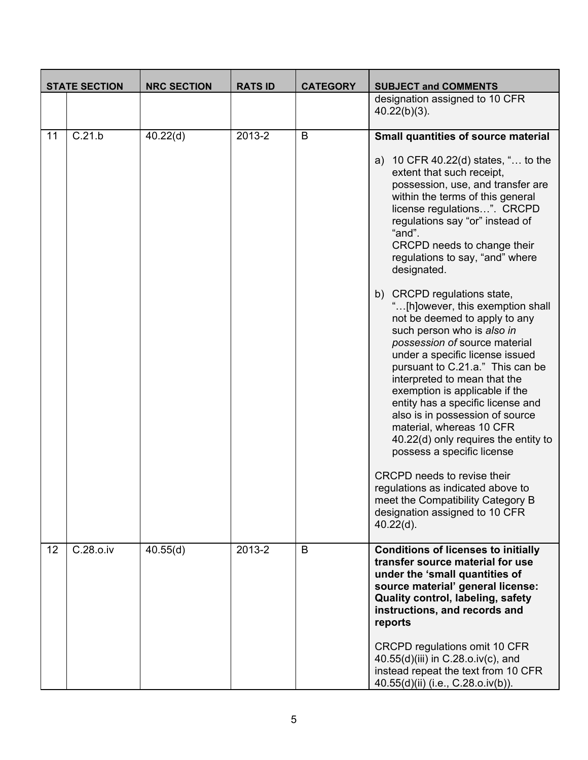| <b>STATE SECTION</b> |           | <b>NRC SECTION</b> | <b>RATS ID</b> | <b>CATEGORY</b> | <b>SUBJECT and COMMENTS</b>                                                                                                                                                                                                                                                                                                                                                                                                                                                                                                                                                                                                                   |
|----------------------|-----------|--------------------|----------------|-----------------|-----------------------------------------------------------------------------------------------------------------------------------------------------------------------------------------------------------------------------------------------------------------------------------------------------------------------------------------------------------------------------------------------------------------------------------------------------------------------------------------------------------------------------------------------------------------------------------------------------------------------------------------------|
|                      |           |                    |                |                 | designation assigned to 10 CFR<br>$40.22(b)(3)$ .                                                                                                                                                                                                                                                                                                                                                                                                                                                                                                                                                                                             |
| 11                   | C.21.b    | 40.22(d)           | 2013-2         | B               | <b>Small quantities of source material</b>                                                                                                                                                                                                                                                                                                                                                                                                                                                                                                                                                                                                    |
|                      |           |                    |                |                 | a) 10 CFR 40.22(d) states, " to the<br>extent that such receipt,<br>possession, use, and transfer are<br>within the terms of this general<br>license regulations". CRCPD<br>regulations say "or" instead of<br>"and".<br>CRCPD needs to change their<br>regulations to say, "and" where<br>designated.                                                                                                                                                                                                                                                                                                                                        |
|                      |           |                    |                |                 | b) CRCPD regulations state,<br>"[h]owever, this exemption shall<br>not be deemed to apply to any<br>such person who is also in<br>possession of source material<br>under a specific license issued<br>pursuant to C.21.a." This can be<br>interpreted to mean that the<br>exemption is applicable if the<br>entity has a specific license and<br>also is in possession of source<br>material, whereas 10 CFR<br>40.22(d) only requires the entity to<br>possess a specific license<br>CRCPD needs to revise their<br>regulations as indicated above to<br>meet the Compatibility Category B<br>designation assigned to 10 CFR<br>$40.22(d)$ . |
| 12                   | C.28.o.iv | 40.55(d)           | 2013-2         | B               | <b>Conditions of licenses to initially</b><br>transfer source material for use<br>under the 'small quantities of<br>source material' general license:<br><b>Quality control, labeling, safety</b><br>instructions, and records and<br>reports<br><b>CRCPD regulations omit 10 CFR</b><br>40.55(d)(iii) in C.28.o.iv(c), and<br>instead repeat the text from 10 CFR<br>40.55(d)(ii) (i.e., C.28.o.iv(b)).                                                                                                                                                                                                                                      |